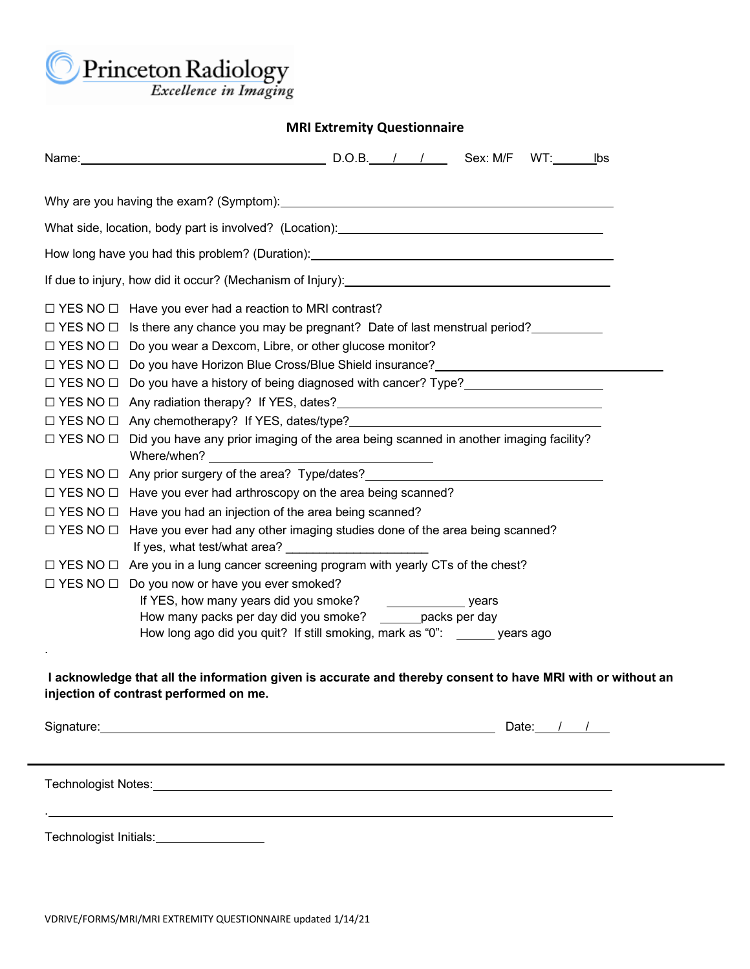Princeton Radiology

## **MRI Extremity Questionnaire**

|                                                                                                                                                                                                                                | Name: Sex: M/F<br>$WT:$ lbs                                                                                                                                                                                                                                                                                                                                                                                                                                                                                                  |  |  |  |  |  |
|--------------------------------------------------------------------------------------------------------------------------------------------------------------------------------------------------------------------------------|------------------------------------------------------------------------------------------------------------------------------------------------------------------------------------------------------------------------------------------------------------------------------------------------------------------------------------------------------------------------------------------------------------------------------------------------------------------------------------------------------------------------------|--|--|--|--|--|
|                                                                                                                                                                                                                                |                                                                                                                                                                                                                                                                                                                                                                                                                                                                                                                              |  |  |  |  |  |
|                                                                                                                                                                                                                                |                                                                                                                                                                                                                                                                                                                                                                                                                                                                                                                              |  |  |  |  |  |
| How long have you had this problem? (Duration): _________________________________                                                                                                                                              |                                                                                                                                                                                                                                                                                                                                                                                                                                                                                                                              |  |  |  |  |  |
|                                                                                                                                                                                                                                |                                                                                                                                                                                                                                                                                                                                                                                                                                                                                                                              |  |  |  |  |  |
| $\Box$ YES NO $\Box$ Have you ever had a reaction to MRI contrast?                                                                                                                                                             |                                                                                                                                                                                                                                                                                                                                                                                                                                                                                                                              |  |  |  |  |  |
|                                                                                                                                                                                                                                | $\Box$ YES NO $\Box$ Is there any chance you may be pregnant? Date of last menstrual period?<br>$\Box$ YES NO $\Box$ Do you wear a Dexcom, Libre, or other glucose monitor?                                                                                                                                                                                                                                                                                                                                                  |  |  |  |  |  |
|                                                                                                                                                                                                                                |                                                                                                                                                                                                                                                                                                                                                                                                                                                                                                                              |  |  |  |  |  |
|                                                                                                                                                                                                                                |                                                                                                                                                                                                                                                                                                                                                                                                                                                                                                                              |  |  |  |  |  |
|                                                                                                                                                                                                                                | □ YES NO □ Any radiation therapy? If YES, dates?<br>□ YES NO □ Any radiation therapy? If YES, dates?                                                                                                                                                                                                                                                                                                                                                                                                                         |  |  |  |  |  |
|                                                                                                                                                                                                                                | $\Box$ YES NO $\Box$ Any chemotherapy? If YES, dates/type?                                                                                                                                                                                                                                                                                                                                                                                                                                                                   |  |  |  |  |  |
|                                                                                                                                                                                                                                | $\Box$ YES NO $\Box$ Did you have any prior imaging of the area being scanned in another imaging facility?                                                                                                                                                                                                                                                                                                                                                                                                                   |  |  |  |  |  |
|                                                                                                                                                                                                                                | □ YES NO □ Any prior surgery of the area? Type/dates? __________________________                                                                                                                                                                                                                                                                                                                                                                                                                                             |  |  |  |  |  |
|                                                                                                                                                                                                                                | $\Box$ YES NO $\Box$ Have you ever had arthroscopy on the area being scanned?                                                                                                                                                                                                                                                                                                                                                                                                                                                |  |  |  |  |  |
|                                                                                                                                                                                                                                | $\Box$ YES NO $\Box$ Have you had an injection of the area being scanned?                                                                                                                                                                                                                                                                                                                                                                                                                                                    |  |  |  |  |  |
| $\square$ YES NO $\square$                                                                                                                                                                                                     | Have you ever had any other imaging studies done of the area being scanned?                                                                                                                                                                                                                                                                                                                                                                                                                                                  |  |  |  |  |  |
|                                                                                                                                                                                                                                | $\Box$ YES NO $\Box$ Are you in a lung cancer screening program with yearly CTs of the chest?                                                                                                                                                                                                                                                                                                                                                                                                                                |  |  |  |  |  |
|                                                                                                                                                                                                                                | $\Box$ YES NO $\Box$ Do you now or have you ever smoked?                                                                                                                                                                                                                                                                                                                                                                                                                                                                     |  |  |  |  |  |
|                                                                                                                                                                                                                                | If YES, how many years did you smoke?<br>$\frac{1}{\sqrt{1-\frac{1}{2}}\sqrt{1-\frac{1}{2}}\sqrt{1-\frac{1}{2}}\sqrt{1-\frac{1}{2}}\sqrt{1-\frac{1}{2}}\sqrt{1-\frac{1}{2}}\sqrt{1-\frac{1}{2}}\sqrt{1-\frac{1}{2}}\sqrt{1-\frac{1}{2}}\sqrt{1-\frac{1}{2}}\sqrt{1-\frac{1}{2}}\sqrt{1-\frac{1}{2}}\sqrt{1-\frac{1}{2}}\sqrt{1-\frac{1}{2}}\sqrt{1-\frac{1}{2}}\sqrt{1-\frac{1}{2}}\sqrt{1-\frac{1}{2}}\sqrt{1-\frac{1}{2}}\sqrt{1-\frac{1}{2}}\sqrt{1-\frac$<br>How many packs per day did you smoke? _______ packs per day |  |  |  |  |  |
|                                                                                                                                                                                                                                | How long ago did you quit? If still smoking, mark as "0": ______ years ago                                                                                                                                                                                                                                                                                                                                                                                                                                                   |  |  |  |  |  |
|                                                                                                                                                                                                                                |                                                                                                                                                                                                                                                                                                                                                                                                                                                                                                                              |  |  |  |  |  |
| I acknowledge that all the information given is accurate and thereby consent to have MRI with or without an<br>injection of contrast performed on me.                                                                          |                                                                                                                                                                                                                                                                                                                                                                                                                                                                                                                              |  |  |  |  |  |
|                                                                                                                                                                                                                                | Signature: <u>contract and contract and contract and contract and contract and contract and contract and contract and contract and contract and contract and contract and contract and contract and contract and contract and co</u><br>Date: $/$ /                                                                                                                                                                                                                                                                          |  |  |  |  |  |
|                                                                                                                                                                                                                                |                                                                                                                                                                                                                                                                                                                                                                                                                                                                                                                              |  |  |  |  |  |
| Technologist Notes: The Contract of the Contract of the Contract of the Contract of the Contract of the Contract of the Contract of the Contract of the Contract of the Contract of the Contract of the Contract of the Contra |                                                                                                                                                                                                                                                                                                                                                                                                                                                                                                                              |  |  |  |  |  |
|                                                                                                                                                                                                                                |                                                                                                                                                                                                                                                                                                                                                                                                                                                                                                                              |  |  |  |  |  |

Technologist Initials:<br>
<u>Fechnologist Initials:</u>